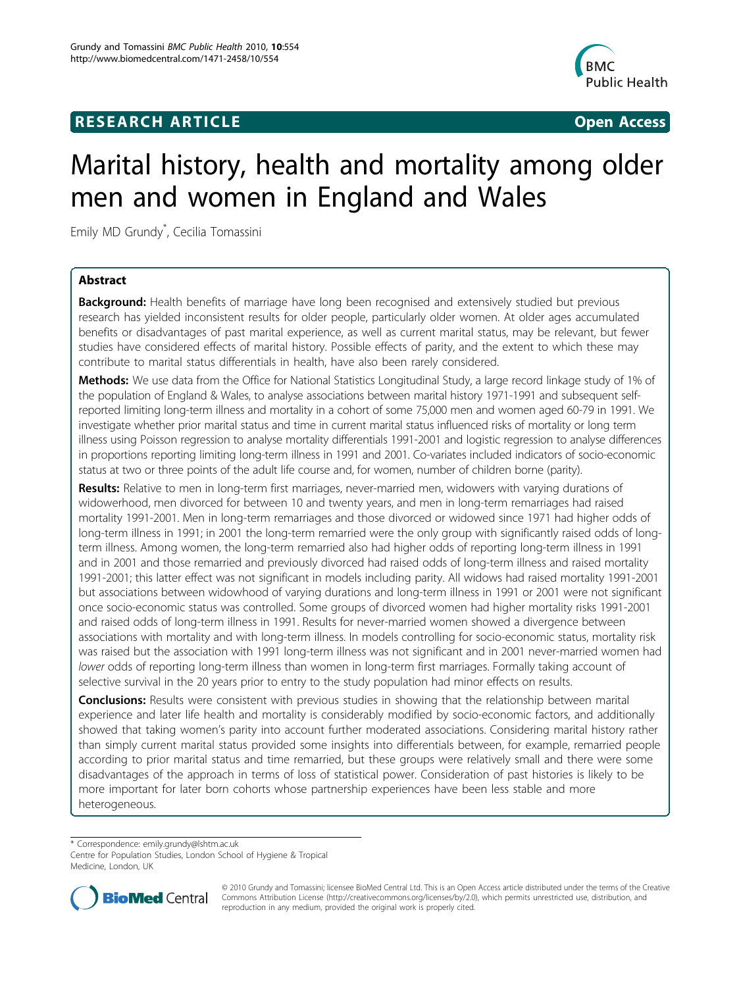# **RESEARCH ARTICLE Example 2018 12:00 Department of the Contract Open Access**



# Marital history, health and mortality among older men and women in England and Wales

Emily MD Grundy\* , Cecilia Tomassini

# Abstract

**Background:** Health benefits of marriage have long been recognised and extensively studied but previous research has yielded inconsistent results for older people, particularly older women. At older ages accumulated benefits or disadvantages of past marital experience, as well as current marital status, may be relevant, but fewer studies have considered effects of marital history. Possible effects of parity, and the extent to which these may contribute to marital status differentials in health, have also been rarely considered.

Methods: We use data from the Office for National Statistics Longitudinal Study, a large record linkage study of 1% of the population of England & Wales, to analyse associations between marital history 1971-1991 and subsequent selfreported limiting long-term illness and mortality in a cohort of some 75,000 men and women aged 60-79 in 1991. We investigate whether prior marital status and time in current marital status influenced risks of mortality or long term illness using Poisson regression to analyse mortality differentials 1991-2001 and logistic regression to analyse differences in proportions reporting limiting long-term illness in 1991 and 2001. Co-variates included indicators of socio-economic status at two or three points of the adult life course and, for women, number of children borne (parity).

Results: Relative to men in long-term first marriages, never-married men, widowers with varying durations of widowerhood, men divorced for between 10 and twenty years, and men in long-term remarriages had raised mortality 1991-2001. Men in long-term remarriages and those divorced or widowed since 1971 had higher odds of long-term illness in 1991; in 2001 the long-term remarried were the only group with significantly raised odds of longterm illness. Among women, the long-term remarried also had higher odds of reporting long-term illness in 1991 and in 2001 and those remarried and previously divorced had raised odds of long-term illness and raised mortality 1991-2001; this latter effect was not significant in models including parity. All widows had raised mortality 1991-2001 but associations between widowhood of varying durations and long-term illness in 1991 or 2001 were not significant once socio-economic status was controlled. Some groups of divorced women had higher mortality risks 1991-2001 and raised odds of long-term illness in 1991. Results for never-married women showed a divergence between associations with mortality and with long-term illness. In models controlling for socio-economic status, mortality risk was raised but the association with 1991 long-term illness was not significant and in 2001 never-married women had lower odds of reporting long-term illness than women in long-term first marriages. Formally taking account of selective survival in the 20 years prior to entry to the study population had minor effects on results.

**Conclusions:** Results were consistent with previous studies in showing that the relationship between marital experience and later life health and mortality is considerably modified by socio-economic factors, and additionally showed that taking women's parity into account further moderated associations. Considering marital history rather than simply current marital status provided some insights into differentials between, for example, remarried people according to prior marital status and time remarried, but these groups were relatively small and there were some disadvantages of the approach in terms of loss of statistical power. Consideration of past histories is likely to be more important for later born cohorts whose partnership experiences have been less stable and more heterogeneous.

\* Correspondence: [emily.grundy@lshtm.ac.uk](mailto:emily.grundy@lshtm.ac.uk)

Centre for Population Studies, London School of Hygiene & Tropical Medicine, London, UK



© 2010 Grundy and Tomassini; licensee BioMed Central Ltd. This is an Open Access article distributed under the terms of the Creative Bio Med Central Commons Attribution License [\(http://creativecommons.org/licenses/by/2.0](http://creativecommons.org/licenses/by/2.0)), which permits unrestricted use, distribution, and reproduction in any medium, provided the original work is properly cited.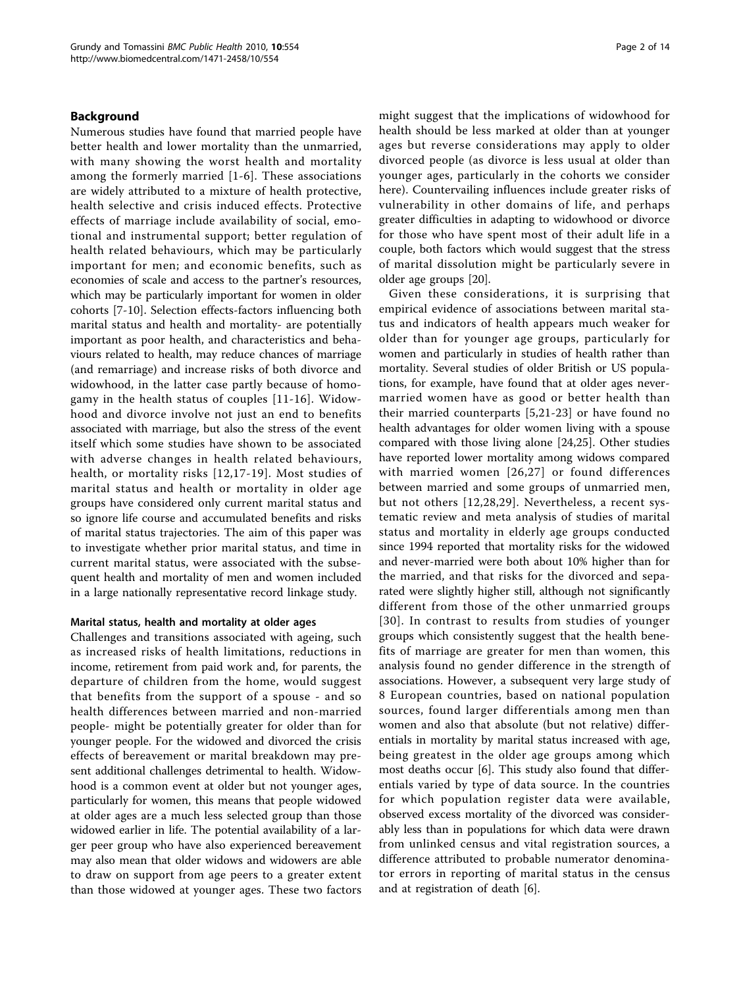#### Background

Numerous studies have found that married people have better health and lower mortality than the unmarried, with many showing the worst health and mortality among the formerly married [[1](#page-12-0)-[6](#page-12-0)]. These associations are widely attributed to a mixture of health protective, health selective and crisis induced effects. Protective effects of marriage include availability of social, emotional and instrumental support; better regulation of health related behaviours, which may be particularly important for men; and economic benefits, such as economies of scale and access to the partner's resources, which may be particularly important for women in older cohorts [[7-10](#page-12-0)]. Selection effects-factors influencing both marital status and health and mortality- are potentially important as poor health, and characteristics and behaviours related to health, may reduce chances of marriage (and remarriage) and increase risks of both divorce and widowhood, in the latter case partly because of homogamy in the health status of couples [\[11-16\]](#page-12-0). Widowhood and divorce involve not just an end to benefits associated with marriage, but also the stress of the event itself which some studies have shown to be associated with adverse changes in health related behaviours, health, or mortality risks [\[12,17-19](#page-12-0)]. Most studies of marital status and health or mortality in older age groups have considered only current marital status and so ignore life course and accumulated benefits and risks of marital status trajectories. The aim of this paper was to investigate whether prior marital status, and time in current marital status, were associated with the subsequent health and mortality of men and women included in a large nationally representative record linkage study.

#### Marital status, health and mortality at older ages

Challenges and transitions associated with ageing, such as increased risks of health limitations, reductions in income, retirement from paid work and, for parents, the departure of children from the home, would suggest that benefits from the support of a spouse - and so health differences between married and non-married people- might be potentially greater for older than for younger people. For the widowed and divorced the crisis effects of bereavement or marital breakdown may present additional challenges detrimental to health. Widowhood is a common event at older but not younger ages, particularly for women, this means that people widowed at older ages are a much less selected group than those widowed earlier in life. The potential availability of a larger peer group who have also experienced bereavement may also mean that older widows and widowers are able to draw on support from age peers to a greater extent than those widowed at younger ages. These two factors might suggest that the implications of widowhood for health should be less marked at older than at younger ages but reverse considerations may apply to older divorced people (as divorce is less usual at older than younger ages, particularly in the cohorts we consider here). Countervailing influences include greater risks of vulnerability in other domains of life, and perhaps greater difficulties in adapting to widowhood or divorce for those who have spent most of their adult life in a couple, both factors which would suggest that the stress of marital dissolution might be particularly severe in older age groups [[20](#page-12-0)].

Given these considerations, it is surprising that empirical evidence of associations between marital status and indicators of health appears much weaker for older than for younger age groups, particularly for women and particularly in studies of health rather than mortality. Several studies of older British or US populations, for example, have found that at older ages nevermarried women have as good or better health than their married counterparts [[5,](#page-12-0)[21](#page-13-0)-[23\]](#page-13-0) or have found no health advantages for older women living with a spouse compared with those living alone [\[24,25](#page-13-0)]. Other studies have reported lower mortality among widows compared with married women [[26,27](#page-13-0)] or found differences between married and some groups of unmarried men, but not others [[12](#page-12-0)[,28,29\]](#page-13-0). Nevertheless, a recent systematic review and meta analysis of studies of marital status and mortality in elderly age groups conducted since 1994 reported that mortality risks for the widowed and never-married were both about 10% higher than for the married, and that risks for the divorced and separated were slightly higher still, although not significantly different from those of the other unmarried groups [[30](#page-13-0)]. In contrast to results from studies of younger groups which consistently suggest that the health benefits of marriage are greater for men than women, this analysis found no gender difference in the strength of associations. However, a subsequent very large study of 8 European countries, based on national population sources, found larger differentials among men than women and also that absolute (but not relative) differentials in mortality by marital status increased with age, being greatest in the older age groups among which most deaths occur [\[6](#page-12-0)]. This study also found that differentials varied by type of data source. In the countries for which population register data were available, observed excess mortality of the divorced was considerably less than in populations for which data were drawn from unlinked census and vital registration sources, a difference attributed to probable numerator denominator errors in reporting of marital status in the census and at registration of death [\[6\]](#page-12-0).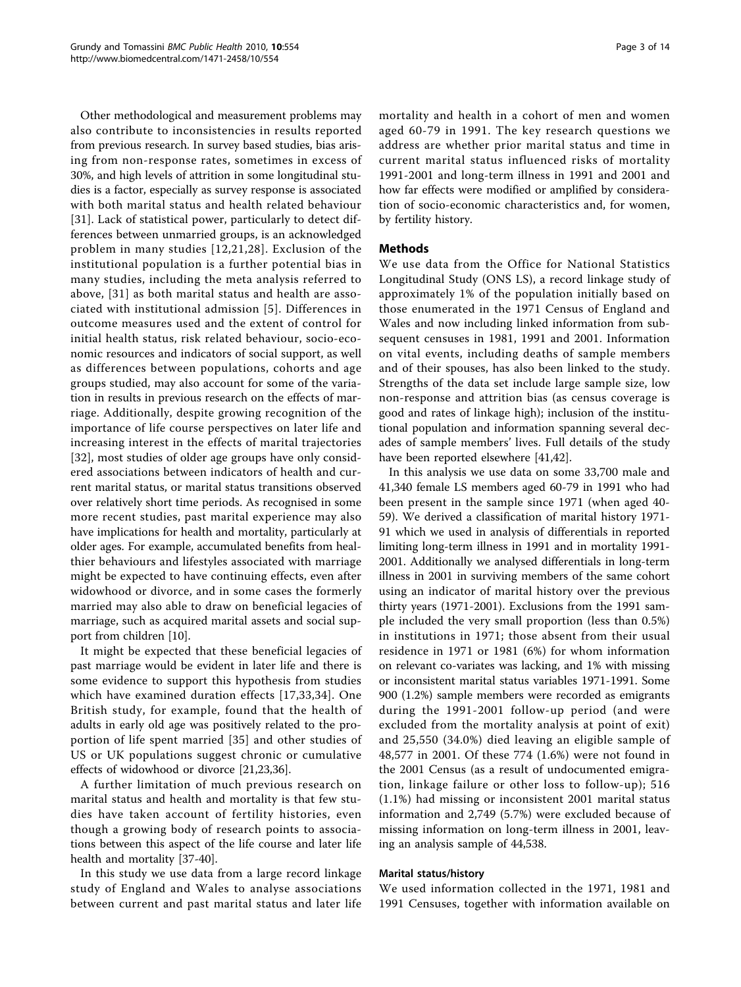Other methodological and measurement problems may also contribute to inconsistencies in results reported from previous research. In survey based studies, bias arising from non-response rates, sometimes in excess of 30%, and high levels of attrition in some longitudinal studies is a factor, especially as survey response is associated with both marital status and health related behaviour [[31](#page-13-0)]. Lack of statistical power, particularly to detect differences between unmarried groups, is an acknowledged problem in many studies [[12,](#page-12-0)[21,28\]](#page-13-0). Exclusion of the institutional population is a further potential bias in many studies, including the meta analysis referred to above, [\[31\]](#page-13-0) as both marital status and health are associated with institutional admission [[5\]](#page-12-0). Differences in outcome measures used and the extent of control for initial health status, risk related behaviour, socio-economic resources and indicators of social support, as well as differences between populations, cohorts and age groups studied, may also account for some of the variation in results in previous research on the effects of marriage. Additionally, despite growing recognition of the importance of life course perspectives on later life and increasing interest in the effects of marital trajectories [[32\]](#page-13-0), most studies of older age groups have only considered associations between indicators of health and current marital status, or marital status transitions observed over relatively short time periods. As recognised in some more recent studies, past marital experience may also have implications for health and mortality, particularly at older ages. For example, accumulated benefits from healthier behaviours and lifestyles associated with marriage might be expected to have continuing effects, even after widowhood or divorce, and in some cases the formerly married may also able to draw on beneficial legacies of marriage, such as acquired marital assets and social support from children [\[10\]](#page-12-0).

It might be expected that these beneficial legacies of past marriage would be evident in later life and there is some evidence to support this hypothesis from studies which have examined duration effects [[17](#page-12-0)[,33,34](#page-13-0)]. One British study, for example, found that the health of adults in early old age was positively related to the proportion of life spent married [[35](#page-13-0)] and other studies of US or UK populations suggest chronic or cumulative effects of widowhood or divorce [\[21,23,36\]](#page-13-0).

A further limitation of much previous research on marital status and health and mortality is that few studies have taken account of fertility histories, even though a growing body of research points to associations between this aspect of the life course and later life health and mortality [[37](#page-13-0)-[40\]](#page-13-0).

In this study we use data from a large record linkage study of England and Wales to analyse associations between current and past marital status and later life mortality and health in a cohort of men and women aged 60-79 in 1991. The key research questions we address are whether prior marital status and time in current marital status influenced risks of mortality 1991-2001 and long-term illness in 1991 and 2001 and how far effects were modified or amplified by consideration of socio-economic characteristics and, for women, by fertility history.

# Methods

We use data from the Office for National Statistics Longitudinal Study (ONS LS), a record linkage study of approximately 1% of the population initially based on those enumerated in the 1971 Census of England and Wales and now including linked information from subsequent censuses in 1981, 1991 and 2001. Information on vital events, including deaths of sample members and of their spouses, has also been linked to the study. Strengths of the data set include large sample size, low non-response and attrition bias (as census coverage is good and rates of linkage high); inclusion of the institutional population and information spanning several decades of sample members' lives. Full details of the study have been reported elsewhere [[41,42\]](#page-13-0).

In this analysis we use data on some 33,700 male and 41,340 female LS members aged 60-79 in 1991 who had been present in the sample since 1971 (when aged 40- 59). We derived a classification of marital history 1971- 91 which we used in analysis of differentials in reported limiting long-term illness in 1991 and in mortality 1991- 2001. Additionally we analysed differentials in long-term illness in 2001 in surviving members of the same cohort using an indicator of marital history over the previous thirty years (1971-2001). Exclusions from the 1991 sample included the very small proportion (less than 0.5%) in institutions in 1971; those absent from their usual residence in 1971 or 1981 (6%) for whom information on relevant co-variates was lacking, and 1% with missing or inconsistent marital status variables 1971-1991. Some 900 (1.2%) sample members were recorded as emigrants during the 1991-2001 follow-up period (and were excluded from the mortality analysis at point of exit) and 25,550 (34.0%) died leaving an eligible sample of 48,577 in 2001. Of these 774 (1.6%) were not found in the 2001 Census (as a result of undocumented emigration, linkage failure or other loss to follow-up); 516 (1.1%) had missing or inconsistent 2001 marital status information and 2,749 (5.7%) were excluded because of missing information on long-term illness in 2001, leaving an analysis sample of 44,538.

# Marital status/history

We used information collected in the 1971, 1981 and 1991 Censuses, together with information available on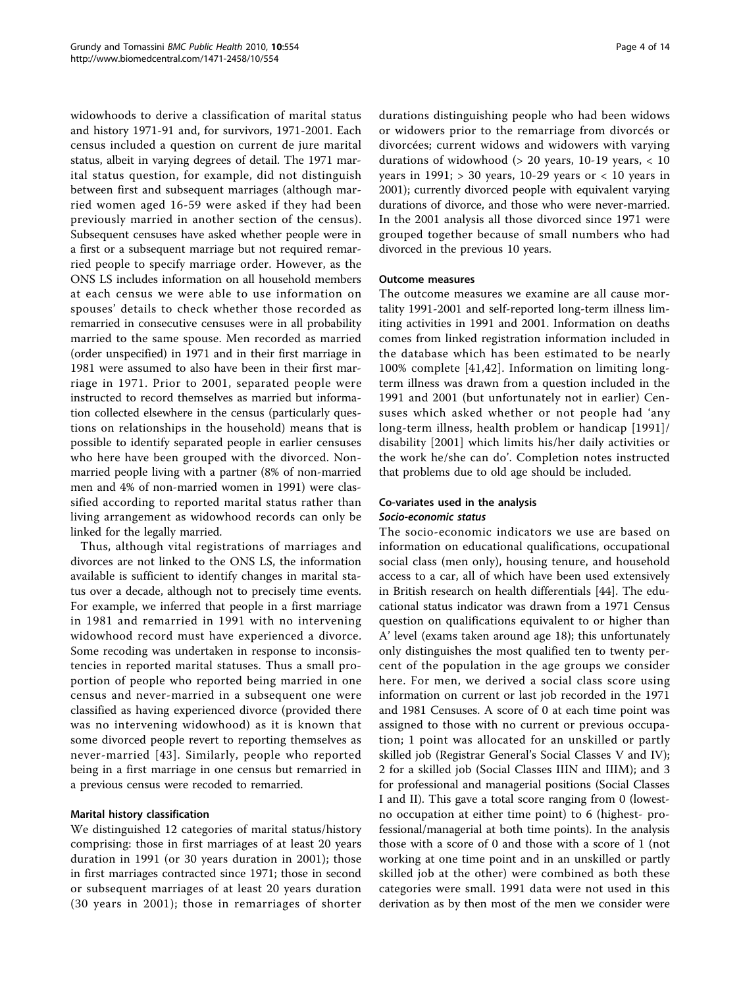widowhoods to derive a classification of marital status and history 1971-91 and, for survivors, 1971-2001. Each census included a question on current de jure marital status, albeit in varying degrees of detail. The 1971 marital status question, for example, did not distinguish between first and subsequent marriages (although married women aged 16-59 were asked if they had been previously married in another section of the census). Subsequent censuses have asked whether people were in a first or a subsequent marriage but not required remarried people to specify marriage order. However, as the ONS LS includes information on all household members at each census we were able to use information on spouses' details to check whether those recorded as remarried in consecutive censuses were in all probability married to the same spouse. Men recorded as married (order unspecified) in 1971 and in their first marriage in 1981 were assumed to also have been in their first marriage in 1971. Prior to 2001, separated people were instructed to record themselves as married but information collected elsewhere in the census (particularly questions on relationships in the household) means that is possible to identify separated people in earlier censuses who here have been grouped with the divorced. Nonmarried people living with a partner (8% of non-married men and 4% of non-married women in 1991) were classified according to reported marital status rather than living arrangement as widowhood records can only be linked for the legally married.

Thus, although vital registrations of marriages and divorces are not linked to the ONS LS, the information available is sufficient to identify changes in marital status over a decade, although not to precisely time events. For example, we inferred that people in a first marriage in 1981 and remarried in 1991 with no intervening widowhood record must have experienced a divorce. Some recoding was undertaken in response to inconsistencies in reported marital statuses. Thus a small proportion of people who reported being married in one census and never-married in a subsequent one were classified as having experienced divorce (provided there was no intervening widowhood) as it is known that some divorced people revert to reporting themselves as never-married [[43](#page-13-0)]. Similarly, people who reported being in a first marriage in one census but remarried in a previous census were recoded to remarried.

# Marital history classification

We distinguished 12 categories of marital status/history comprising: those in first marriages of at least 20 years duration in 1991 (or 30 years duration in 2001); those in first marriages contracted since 1971; those in second or subsequent marriages of at least 20 years duration (30 years in 2001); those in remarriages of shorter durations distinguishing people who had been widows or widowers prior to the remarriage from divorcés or divorcées; current widows and widowers with varying durations of widowhood ( $> 20$  years,  $10-19$  years,  $< 10$ years in 1991;  $> 30$  years, 10-29 years or  $< 10$  years in 2001); currently divorced people with equivalent varying durations of divorce, and those who were never-married. In the 2001 analysis all those divorced since 1971 were grouped together because of small numbers who had divorced in the previous 10 years.

#### Outcome measures

The outcome measures we examine are all cause mortality 1991-2001 and self-reported long-term illness limiting activities in 1991 and 2001. Information on deaths comes from linked registration information included in the database which has been estimated to be nearly 100% complete [[41](#page-13-0),[42\]](#page-13-0). Information on limiting longterm illness was drawn from a question included in the 1991 and 2001 (but unfortunately not in earlier) Censuses which asked whether or not people had 'any long-term illness, health problem or handicap [1991]/ disability [2001] which limits his/her daily activities or the work he/she can do'. Completion notes instructed that problems due to old age should be included.

# Co-variates used in the analysis Socio-economic status

The socio-economic indicators we use are based on information on educational qualifications, occupational social class (men only), housing tenure, and household access to a car, all of which have been used extensively in British research on health differentials [[44\]](#page-13-0). The educational status indicator was drawn from a 1971 Census question on qualifications equivalent to or higher than A' level (exams taken around age 18); this unfortunately only distinguishes the most qualified ten to twenty percent of the population in the age groups we consider here. For men, we derived a social class score using information on current or last job recorded in the 1971 and 1981 Censuses. A score of 0 at each time point was assigned to those with no current or previous occupation; 1 point was allocated for an unskilled or partly skilled job (Registrar General's Social Classes V and IV); 2 for a skilled job (Social Classes IIIN and IIIM); and 3 for professional and managerial positions (Social Classes I and II). This gave a total score ranging from 0 (lowestno occupation at either time point) to 6 (highest- professional/managerial at both time points). In the analysis those with a score of 0 and those with a score of 1 (not working at one time point and in an unskilled or partly skilled job at the other) were combined as both these categories were small. 1991 data were not used in this derivation as by then most of the men we consider were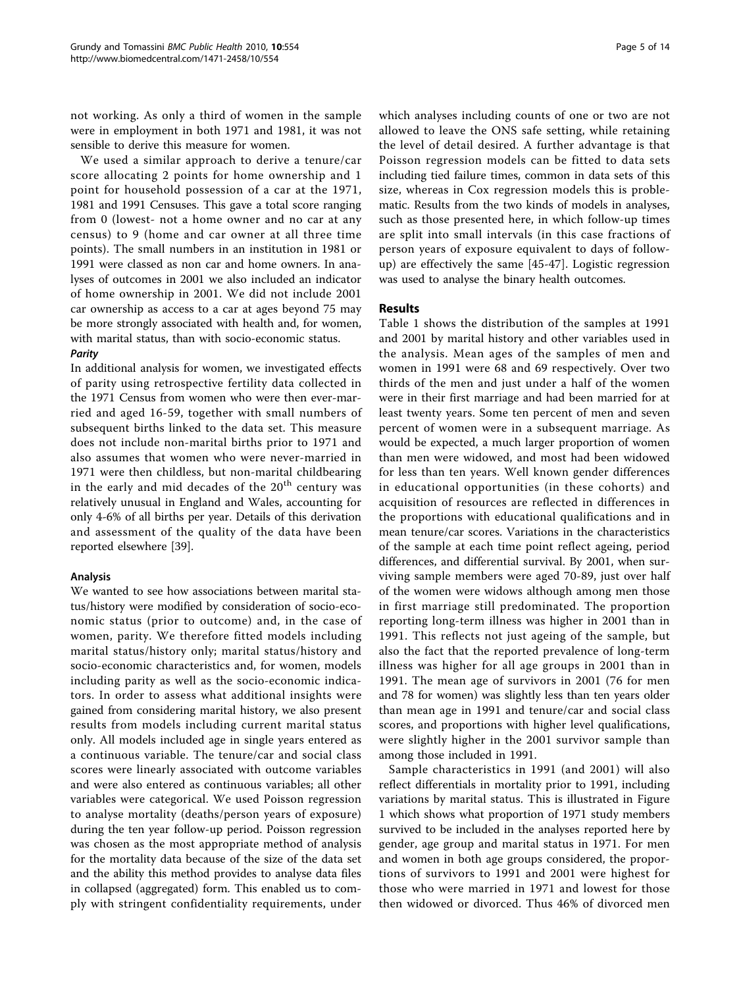not working. As only a third of women in the sample were in employment in both 1971 and 1981, it was not sensible to derive this measure for women.

We used a similar approach to derive a tenure/car score allocating 2 points for home ownership and 1 point for household possession of a car at the 1971, 1981 and 1991 Censuses. This gave a total score ranging from 0 (lowest- not a home owner and no car at any census) to 9 (home and car owner at all three time points). The small numbers in an institution in 1981 or 1991 were classed as non car and home owners. In analyses of outcomes in 2001 we also included an indicator of home ownership in 2001. We did not include 2001 car ownership as access to a car at ages beyond 75 may be more strongly associated with health and, for women, with marital status, than with socio-economic status.

#### **Parity**

In additional analysis for women, we investigated effects of parity using retrospective fertility data collected in the 1971 Census from women who were then ever-married and aged 16-59, together with small numbers of subsequent births linked to the data set. This measure does not include non-marital births prior to 1971 and also assumes that women who were never-married in 1971 were then childless, but non-marital childbearing in the early and mid decades of the  $20<sup>th</sup>$  century was relatively unusual in England and Wales, accounting for only 4-6% of all births per year. Details of this derivation and assessment of the quality of the data have been reported elsewhere [[39](#page-13-0)].

# Analysis

We wanted to see how associations between marital status/history were modified by consideration of socio-economic status (prior to outcome) and, in the case of women, parity. We therefore fitted models including marital status/history only; marital status/history and socio-economic characteristics and, for women, models including parity as well as the socio-economic indicators. In order to assess what additional insights were gained from considering marital history, we also present results from models including current marital status only. All models included age in single years entered as a continuous variable. The tenure/car and social class scores were linearly associated with outcome variables and were also entered as continuous variables; all other variables were categorical. We used Poisson regression to analyse mortality (deaths/person years of exposure) during the ten year follow-up period. Poisson regression was chosen as the most appropriate method of analysis for the mortality data because of the size of the data set and the ability this method provides to analyse data files in collapsed (aggregated) form. This enabled us to comply with stringent confidentiality requirements, under which analyses including counts of one or two are not allowed to leave the ONS safe setting, while retaining the level of detail desired. A further advantage is that Poisson regression models can be fitted to data sets including tied failure times, common in data sets of this size, whereas in Cox regression models this is problematic. Results from the two kinds of models in analyses, such as those presented here, in which follow-up times are split into small intervals (in this case fractions of person years of exposure equivalent to days of followup) are effectively the same [[45-47](#page-13-0)]. Logistic regression was used to analyse the binary health outcomes.

# Results

Table [1](#page-5-0) shows the distribution of the samples at 1991 and 2001 by marital history and other variables used in the analysis. Mean ages of the samples of men and women in 1991 were 68 and 69 respectively. Over two thirds of the men and just under a half of the women were in their first marriage and had been married for at least twenty years. Some ten percent of men and seven percent of women were in a subsequent marriage. As would be expected, a much larger proportion of women than men were widowed, and most had been widowed for less than ten years. Well known gender differences in educational opportunities (in these cohorts) and acquisition of resources are reflected in differences in the proportions with educational qualifications and in mean tenure/car scores. Variations in the characteristics of the sample at each time point reflect ageing, period differences, and differential survival. By 2001, when surviving sample members were aged 70-89, just over half of the women were widows although among men those in first marriage still predominated. The proportion reporting long-term illness was higher in 2001 than in 1991. This reflects not just ageing of the sample, but also the fact that the reported prevalence of long-term illness was higher for all age groups in 2001 than in 1991. The mean age of survivors in 2001 (76 for men and 78 for women) was slightly less than ten years older than mean age in 1991 and tenure/car and social class scores, and proportions with higher level qualifications, were slightly higher in the 2001 survivor sample than among those included in 1991.

Sample characteristics in 1991 (and 2001) will also reflect differentials in mortality prior to 1991, including variations by marital status. This is illustrated in Figure [1](#page-6-0) which shows what proportion of 1971 study members survived to be included in the analyses reported here by gender, age group and marital status in 1971. For men and women in both age groups considered, the proportions of survivors to 1991 and 2001 were highest for those who were married in 1971 and lowest for those then widowed or divorced. Thus 46% of divorced men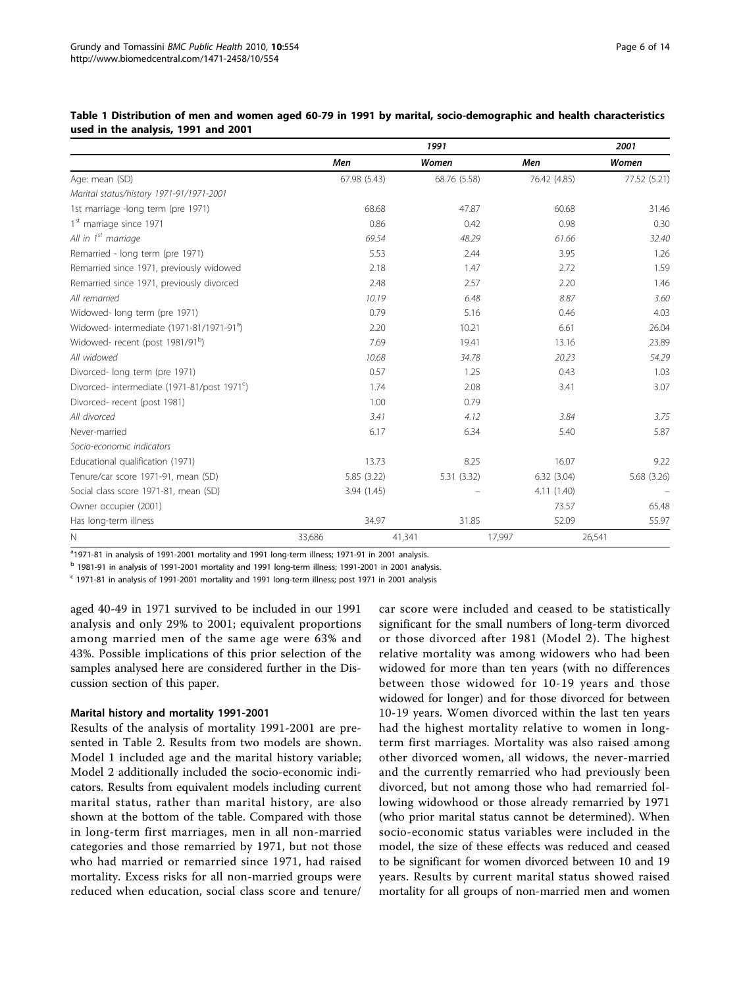|                                                          |              | 2001         |              |              |
|----------------------------------------------------------|--------------|--------------|--------------|--------------|
|                                                          | Men          | Women        | Men          | Women        |
| Age: mean (SD)                                           | 67.98 (5.43) | 68.76 (5.58) | 76.42 (4.85) | 77.52 (5.21) |
| Marital status/history 1971-91/1971-2001                 |              |              |              |              |
| 1st marriage - long term (pre 1971)                      | 68.68        | 47.87        | 60.68        | 31.46        |
| 1 <sup>st</sup> marriage since 1971                      | 0.86         | 0.42         | 0.98         | 0.30         |
| All in 1 <sup>st</sup> marriage                          | 69.54        | 48.29        | 61.66        | 32.40        |
| Remarried - long term (pre 1971)                         | 5.53         | 2.44         | 3.95         | 1.26         |
| Remarried since 1971, previously widowed                 | 2.18         | 1.47         | 2.72         | 1.59         |
| Remarried since 1971, previously divorced                | 2.48         | 2.57         | 2.20         | 1.46         |
| All remarried                                            | 10.19        | 6.48         | 8.87         | 3.60         |
| Widowed- long term (pre 1971)                            | 0.79         | 5.16         | 0.46         | 4.03         |
| Widowed- intermediate (1971-81/1971-91 <sup>a</sup> )    | 2.20         | 10.21        | 6.61         | 26.04        |
| Widowed-recent (post 1981/91 <sup>b</sup> )              | 7.69         | 19.41        | 13.16        | 23.89        |
| All widowed                                              | 10.68        | 34.78        | 20.23        | 54.29        |
| Divorced- long term (pre 1971)                           | 0.57         | 1.25         | 0.43         | 1.03         |
| Divorced- intermediate (1971-81/post 1971 <sup>c</sup> ) | 1.74         | 2.08         | 3.41         | 3.07         |
| Divorced-recent (post 1981)                              | 1.00         | 0.79         |              |              |
| All divorced                                             | 3.41         | 4.12         | 3.84         | 3.75         |
| Never-married                                            | 6.17         | 6.34         | 5.40         | 5.87         |
| Socio-economic indicators                                |              |              |              |              |
| Educational qualification (1971)                         | 13.73        | 8.25         | 16.07        | 9.22         |
| Tenure/car score 1971-91, mean (SD)                      | 5.85 (3.22)  | 5.31 (3.32)  | 6.32(3.04)   | 5.68 (3.26)  |
| Social class score 1971-81, mean (SD)                    | 3.94 (1.45)  |              | 4.11 (1.40)  |              |
| Owner occupier (2001)                                    |              |              | 73.57        | 65.48        |
| Has long-term illness                                    | 34.97        | 31.85        | 52.09        | 55.97        |
| $\mathbb N$                                              | 33,686       | 41,341       | 17,997       | 26,541       |

#### <span id="page-5-0"></span>Table 1 Distribution of men and women aged 60-79 in 1991 by marital, socio-demographic and health characteristics used in the analysis, 1991 and 2001

<sup>a</sup>1971-81 in analysis of 1991-2001 mortality and 1991 long-term illness; 1971-91 in 2001 analysis.

<sup>b</sup> 1981-91 in analysis of 1991-2001 mortality and 1991 long-term illness; 1991-2001 in 2001 analysis.

<sup>c</sup> 1971-81 in analysis of 1991-2001 mortality and 1991 long-term illness; post 1971 in 2001 analysis

aged 40-49 in 1971 survived to be included in our 1991 analysis and only 29% to 2001; equivalent proportions among married men of the same age were 63% and 43%. Possible implications of this prior selection of the samples analysed here are considered further in the Discussion section of this paper.

#### Marital history and mortality 1991-2001

Results of the analysis of mortality 1991-2001 are presented in Table [2.](#page-7-0) Results from two models are shown. Model 1 included age and the marital history variable; Model 2 additionally included the socio-economic indicators. Results from equivalent models including current marital status, rather than marital history, are also shown at the bottom of the table. Compared with those in long-term first marriages, men in all non-married categories and those remarried by 1971, but not those who had married or remarried since 1971, had raised mortality. Excess risks for all non-married groups were reduced when education, social class score and tenure/ car score were included and ceased to be statistically significant for the small numbers of long-term divorced or those divorced after 1981 (Model 2). The highest relative mortality was among widowers who had been widowed for more than ten years (with no differences between those widowed for 10-19 years and those widowed for longer) and for those divorced for between 10-19 years. Women divorced within the last ten years had the highest mortality relative to women in longterm first marriages. Mortality was also raised among other divorced women, all widows, the never-married and the currently remarried who had previously been divorced, but not among those who had remarried following widowhood or those already remarried by 1971 (who prior marital status cannot be determined). When socio-economic status variables were included in the model, the size of these effects was reduced and ceased to be significant for women divorced between 10 and 19 years. Results by current marital status showed raised mortality for all groups of non-married men and women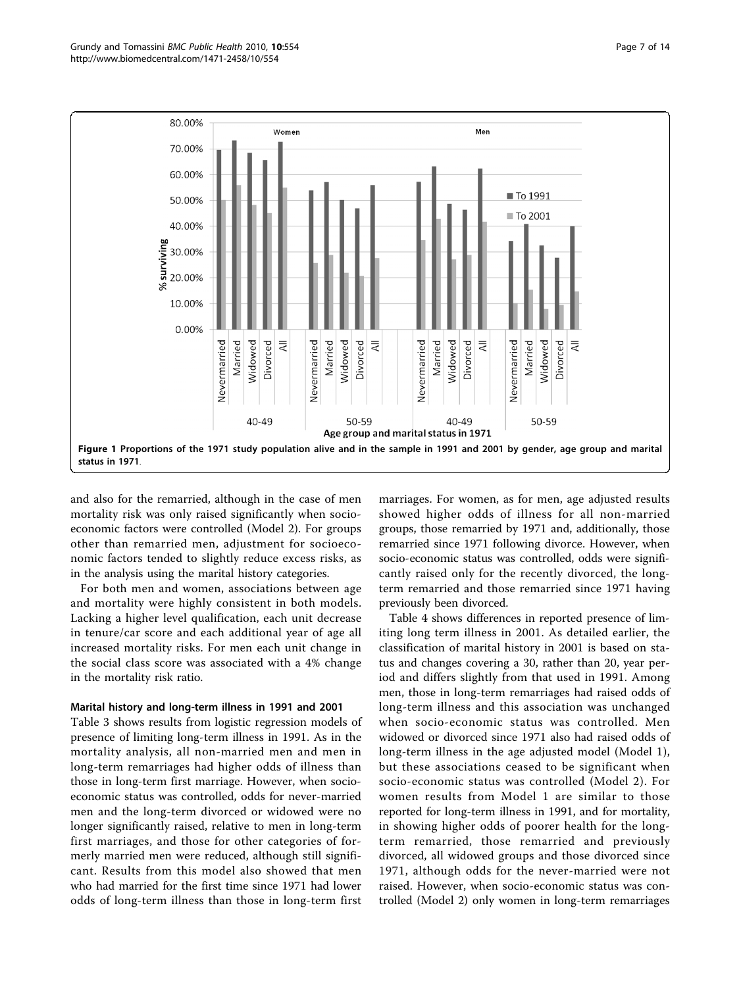<span id="page-6-0"></span>

and also for the remarried, although in the case of men mortality risk was only raised significantly when socioeconomic factors were controlled (Model 2). For groups other than remarried men, adjustment for socioeconomic factors tended to slightly reduce excess risks, as in the analysis using the marital history categories.

For both men and women, associations between age and mortality were highly consistent in both models. Lacking a higher level qualification, each unit decrease in tenure/car score and each additional year of age all increased mortality risks. For men each unit change in the social class score was associated with a 4% change in the mortality risk ratio.

#### Marital history and long-term illness in 1991 and 2001

Table [3](#page-8-0) shows results from logistic regression models of presence of limiting long-term illness in 1991. As in the mortality analysis, all non-married men and men in long-term remarriages had higher odds of illness than those in long-term first marriage. However, when socioeconomic status was controlled, odds for never-married men and the long-term divorced or widowed were no longer significantly raised, relative to men in long-term first marriages, and those for other categories of formerly married men were reduced, although still significant. Results from this model also showed that men who had married for the first time since 1971 had lower odds of long-term illness than those in long-term first

marriages. For women, as for men, age adjusted results showed higher odds of illness for all non-married groups, those remarried by 1971 and, additionally, those remarried since 1971 following divorce. However, when socio-economic status was controlled, odds were significantly raised only for the recently divorced, the longterm remarried and those remarried since 1971 having previously been divorced.

Table [4](#page-9-0) shows differences in reported presence of limiting long term illness in 2001. As detailed earlier, the classification of marital history in 2001 is based on status and changes covering a 30, rather than 20, year period and differs slightly from that used in 1991. Among men, those in long-term remarriages had raised odds of long-term illness and this association was unchanged when socio-economic status was controlled. Men widowed or divorced since 1971 also had raised odds of long-term illness in the age adjusted model (Model 1), but these associations ceased to be significant when socio-economic status was controlled (Model 2). For women results from Model 1 are similar to those reported for long-term illness in 1991, and for mortality, in showing higher odds of poorer health for the longterm remarried, those remarried and previously divorced, all widowed groups and those divorced since 1971, although odds for the never-married were not raised. However, when socio-economic status was controlled (Model 2) only women in long-term remarriages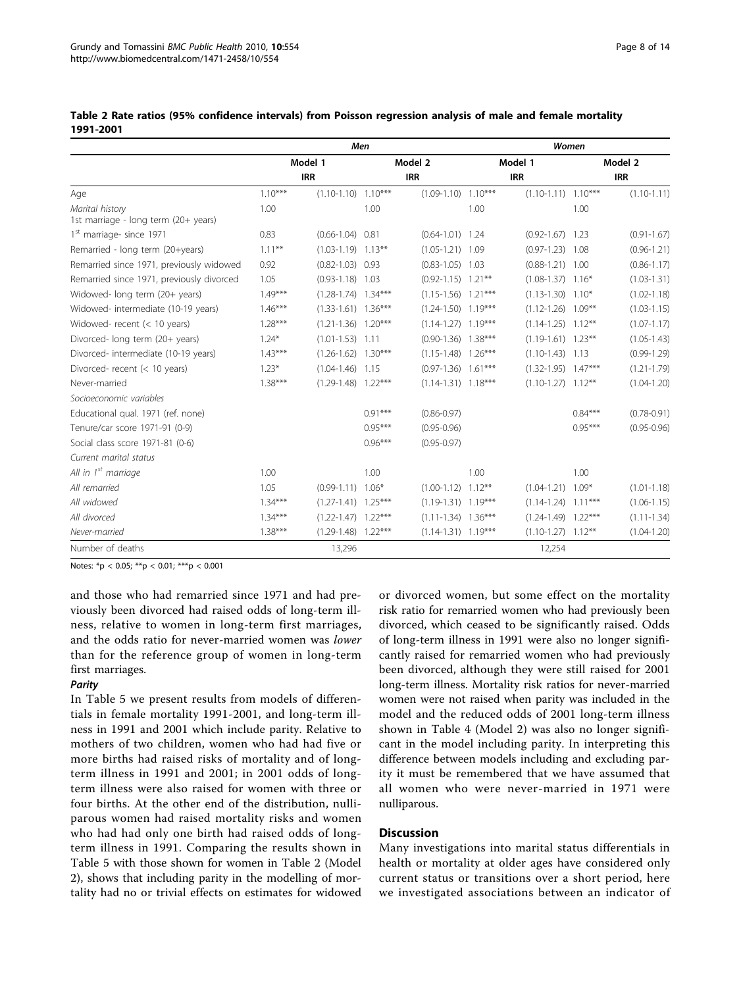|                                                         | Men       |                         |           |                         | Women |                           |           |                 |
|---------------------------------------------------------|-----------|-------------------------|-----------|-------------------------|-------|---------------------------|-----------|-----------------|
|                                                         |           | Model 1                 |           | Model 2                 |       | Model 1                   |           | Model 2         |
|                                                         |           | <b>IRR</b>              |           | <b>IRR</b>              |       | <b>IRR</b>                |           | <b>IRR</b>      |
| Age                                                     | $1.10***$ | $(1.10-1.10)$ $1.10***$ |           | $(1.09-1.10)$ $1.10***$ |       | $(1.10-1.11)$ $1.10***$   |           | $(1.10-1.11)$   |
| Marital history<br>1st marriage - long term (20+ years) | 1.00      |                         | 1.00      |                         | 1.00  |                           | 1.00      |                 |
| 1 <sup>st</sup> marriage- since 1971                    | 0.83      | $(0.66 - 1.04)$ 0.81    |           | $(0.64 - 1.01)$ 1.24    |       | $(0.92 - 1.67)$           | 1.23      | $(0.91 - 1.67)$ |
| Remarried - long term (20+years)                        | $1.11***$ | $(1.03-1.19)$ $1.13***$ |           | $(1.05 - 1.21)$ 1.09    |       | $(0.97 - 1.23)$           | 1.08      | $(0.96 - 1.21)$ |
| Remarried since 1971, previously widowed                | 0.92      | $(0.82 - 1.03)$ 0.93    |           | $(0.83 - 1.05)$ 1.03    |       | $(0.88-1.21)$ 1.00        |           | $(0.86 - 1.17)$ |
| Remarried since 1971, previously divorced               | 1.05      | $(0.93 - 1.18)$ 1.03    |           | $(0.92 - 1.15)$ 1.21**  |       | $(1.08 - 1.37)$           | $1.16*$   | $(1.03 - 1.31)$ |
| Widowed- long term (20+ years)                          | $1.49***$ | $(1.28-1.74)$ 1.34***   |           | $(1.15-1.56)$ 1.21***   |       | $(1.13 - 1.30)$           | $1.10*$   | $(1.02 - 1.18)$ |
| Widowed- intermediate (10-19 years)                     | $1.46***$ | $(1.33-1.61)$ $1.36***$ |           | $(1.24 - 1.50)$ 1.19*** |       | $(1.12 - 1.26)$ 1.09**    |           | $(1.03 - 1.15)$ |
| Widowed-recent $(< 10$ years)                           | $1.28***$ | $(1.21 - 1.36)$ 1.20*** |           | $(1.14 - 1.27)$ 1.19*** |       | $(1.14 - 1.25)$           | $1.12***$ | $(1.07 - 1.17)$ |
| Divorced- long term (20+ years)                         | $1.24*$   | $(1.01 - 1.53)$ 1.11    |           | $(0.90-1.36)$ 1.38***   |       | $(1.19 - 1.61)$           | $1.23***$ | $(1.05 - 1.43)$ |
| Divorced- intermediate (10-19 years)                    | $1.43***$ | $(1.26-1.62)$ 1.30***   |           | $(1.15-1.48)$ 1.26***   |       | $(1.10-1.43)$ 1.13        |           | $(0.99 - 1.29)$ |
| Divorced-recent (< 10 years)                            | $1.23*$   | $(1.04 - 1.46)$         | 1.15      | $(0.97-1.36)$ 1.61***   |       | $(1.32 - 1.95)$ $1.47***$ |           | $(1.21 - 1.79)$ |
| Never-married                                           | $1.38***$ | $(1.29 - 1.48)$ 1.22*** |           | $(1.14-1.31)$ $1.18***$ |       | $(1.10-1.27)$ $1.12**$    |           | $(1.04 - 1.20)$ |
| Socioeconomic variables                                 |           |                         |           |                         |       |                           |           |                 |
| Educational qual. 1971 (ref. none)                      |           |                         | $0.91***$ | $(0.86 - 0.97)$         |       |                           | $0.84***$ | $(0.78 - 0.91)$ |
| Tenure/car score 1971-91 (0-9)                          |           |                         | $0.95***$ | $(0.95 - 0.96)$         |       |                           | $0.95***$ | $(0.95 - 0.96)$ |
| Social class score 1971-81 (0-6)                        |           |                         | $0.96***$ | $(0.95 - 0.97)$         |       |                           |           |                 |
| Current marital status                                  |           |                         |           |                         |       |                           |           |                 |
| All in $1st$ marriage                                   | 1.00      |                         | 1.00      |                         | 1.00  |                           | 1.00      |                 |
| All remarried                                           | 1.05      | $(0.99 - 1.11)$         | $1.06*$   | $(1.00-1.12)$ $1.12***$ |       | $(1.04 - 1.21)$           | $1.09*$   | $(1.01 - 1.18)$ |
| All widowed                                             | $1.34***$ | $(1.27-1.41)$ 1.25***   |           | $(1.19-1.31)$ 1.19***   |       | $(1.14-1.24)$ $1.11***$   |           | $(1.06 - 1.15)$ |
| All divorced                                            | $1.34***$ | $(1.22 - 1.47)$ 1.22*** |           | $(1.11-1.34)$ 1.36***   |       | $(1.24 - 1.49)$           | $1.22***$ | $(1.11 - 1.34)$ |
| Never-married                                           | $1.38***$ | $(1.29-1.48)$ 1.22***   |           | $(1.14-1.31)$ 1.19***   |       | $(1.10-1.27)$ $1.12**$    |           | $(1.04 - 1.20)$ |
| Number of deaths                                        |           | 13,296                  |           |                         |       | 12,254                    |           |                 |

<span id="page-7-0"></span>Table 2 Rate ratios (95% confidence intervals) from Poisson regression analysis of male and female mortality 1991-2001

Notes: \*p < 0.05; \*\*p < 0.01; \*\*\*p < 0.001

and those who had remarried since 1971 and had previously been divorced had raised odds of long-term illness, relative to women in long-term first marriages, and the odds ratio for never-married women was lower than for the reference group of women in long-term first marriages.

#### Parity

In Table [5](#page-10-0) we present results from models of differentials in female mortality 1991-2001, and long-term illness in 1991 and 2001 which include parity. Relative to mothers of two children, women who had had five or more births had raised risks of mortality and of longterm illness in 1991 and 2001; in 2001 odds of longterm illness were also raised for women with three or four births. At the other end of the distribution, nulliparous women had raised mortality risks and women who had had only one birth had raised odds of longterm illness in 1991. Comparing the results shown in Table [5](#page-10-0) with those shown for women in Table 2 (Model 2), shows that including parity in the modelling of mortality had no or trivial effects on estimates for widowed or divorced women, but some effect on the mortality risk ratio for remarried women who had previously been divorced, which ceased to be significantly raised. Odds of long-term illness in 1991 were also no longer significantly raised for remarried women who had previously been divorced, although they were still raised for 2001 long-term illness. Mortality risk ratios for never-married women were not raised when parity was included in the model and the reduced odds of 2001 long-term illness shown in Table [4](#page-9-0) (Model 2) was also no longer significant in the model including parity. In interpreting this difference between models including and excluding parity it must be remembered that we have assumed that all women who were never-married in 1971 were nulliparous.

#### Discussion

Many investigations into marital status differentials in health or mortality at older ages have considered only current status or transitions over a short period, here we investigated associations between an indicator of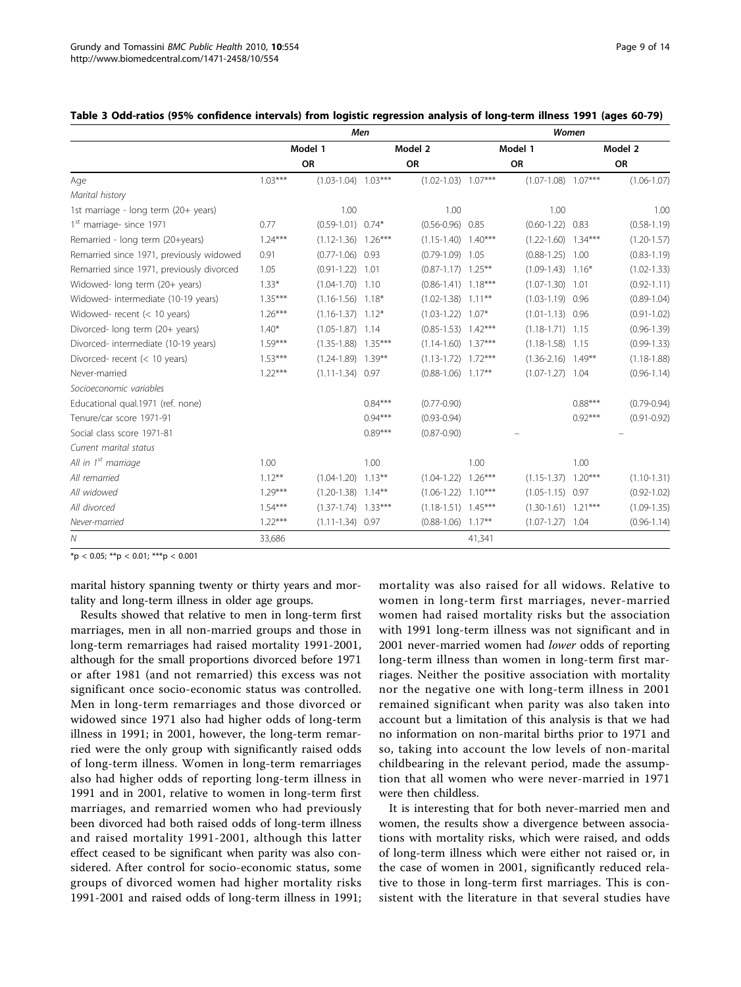|                                           | Men       |                           |           |                         | Women   |                         |           |                 |
|-------------------------------------------|-----------|---------------------------|-----------|-------------------------|---------|-------------------------|-----------|-----------------|
|                                           |           | Model 1                   | Model 2   |                         | Model 1 |                         | Model 2   |                 |
|                                           |           | <b>OR</b>                 |           | <b>OR</b>               |         | <b>OR</b>               |           | <b>OR</b>       |
| Age                                       | $1.03***$ | $(1.03 - 1.04)$ $1.03***$ |           | $(1.02 - 1.03)$ 1.07*** |         | $(1.07-1.08)$ 1.07***   |           | $(1.06 - 1.07)$ |
| Marital history                           |           |                           |           |                         |         |                         |           |                 |
| 1st marriage - long term (20+ years)      |           | 1.00                      |           | 1.00                    |         | 1.00                    |           | 1.00            |
| 1 <sup>st</sup> marriage- since 1971      | 0.77      | $(0.59 - 1.01)$ $0.74*$   |           | $(0.56 - 0.96)$ 0.85    |         | $(0.60 - 1.22)$         | 0.83      | $(0.58 - 1.19)$ |
| Remarried - long term (20+years)          | $1.24***$ | $(1.12 - 1.36)$ $1.26***$ |           | $(1.15-1.40)$ $1.40***$ |         | $(1.22 - 1.60)$ 1.34*** |           | $(1.20 - 1.57)$ |
| Remarried since 1971, previously widowed  | 0.91      | $(0.77 - 1.06)$ 0.93      |           | $(0.79 - 1.09)$ 1.05    |         | $(0.88-1.25)$ 1.00      |           | $(0.83 - 1.19)$ |
| Remarried since 1971, previously divorced | 1.05      | $(0.91 - 1.22)$           | 1.01      | $(0.87 - 1.17)$ 1.25**  |         | $(1.09-1.43)$ $1.16*$   |           | $(1.02 - 1.33)$ |
| Widowed- long term (20+ years)            | $1.33*$   | $(1.04 - 1.70)$ 1.10      |           | $(0.86 - 1.41)$ 1.18*** |         | $(1.07-1.30)$ 1.01      |           | $(0.92 - 1.11)$ |
| Widowed- intermediate (10-19 years)       | $1.35***$ | $(1.16-1.56)$ 1.18*       |           | $(1.02 - 1.38)$ 1.11**  |         | $(1.03 - 1.19)$ 0.96    |           | $(0.89 - 1.04)$ |
| Widowed-recent $(< 10$ years)             | $1.26***$ | $(1.16-1.37)$ $1.12*$     |           | $(1.03 - 1.22)$ 1.07*   |         | $(1.01 - 1.13)$ 0.96    |           | $(0.91 - 1.02)$ |
| Divorced- long term (20+ years)           | $1.40*$   | $(1.05 - 1.87)$ 1.14      |           | $(0.85-1.53)$ 1.42***   |         | $(1.18 - 1.71)$ 1.15    |           | $(0.96 - 1.39)$ |
| Divorced- intermediate (10-19 years)      | $1.59***$ | $(1.35 - 1.88)$           | $1.35***$ | $(1.14-1.60)$ 1.37***   |         | $(1.18 - 1.58)$ 1.15    |           | $(0.99 - 1.33)$ |
| Divorced-recent $(< 10$ years)            | $1.53***$ | $(1.24 - 1.89)$ $1.39**$  |           | $(1.13-1.72)$ $1.72***$ |         | $(1.36 - 2.16)$ 1.49**  |           | $(1.18 - 1.88)$ |
| Never-married                             | $1.22***$ | $(1.11 - 1.34)$ 0.97      |           | $(0.88 - 1.06)$ 1.17**  |         | $(1.07 - 1.27)$ 1.04    |           | $(0.96 - 1.14)$ |
| Socioeconomic variables                   |           |                           |           |                         |         |                         |           |                 |
| Educational qual.1971 (ref. none)         |           |                           | $0.84***$ | $(0.77 - 0.90)$         |         |                         | $0.88***$ | $(0.79 - 0.94)$ |
| Tenure/car score 1971-91                  |           |                           | $0.94***$ | $(0.93 - 0.94)$         |         |                         | $0.92***$ | $(0.91 - 0.92)$ |
| Social class score 1971-81                |           |                           | $0.89***$ | $(0.87 - 0.90)$         |         |                         |           |                 |
| Current marital status                    |           |                           |           |                         |         |                         |           |                 |
| All in $1st$ marriage                     | 1.00      |                           | 1.00      |                         | 1.00    |                         | 1.00      |                 |
| All remarried                             | $1.12***$ | $(1.04 - 1.20)$           | $1.13***$ | $(1.04-1.22)$ 1.26***   |         | $(1.15 - 1.37)$         | $1.20***$ | $(1.10 - 1.31)$ |
| All widowed                               | $1.29***$ | $(1.20-1.38)$ 1.14**      |           | $(1.06-1.22)$ 1.10***   |         | $(1.05-1.15)$ 0.97      |           | $(0.92 - 1.02)$ |
| All divorced                              | $1.54***$ | $(1.37-1.74)$ 1.33***     |           | $(1.18-1.51)$ 1.45***   |         | $(1.30-1.61)$ $1.21***$ |           | $(1.09 - 1.35)$ |
| Never-married                             | $1.22***$ | $(1.11 - 1.34)$ 0.97      |           | $(0.88-1.06)$ 1.17**    |         | $(1.07 - 1.27)$ 1.04    |           | $(0.96 - 1.14)$ |
| ${\cal N}$                                | 33,686    |                           |           |                         | 41,341  |                         |           |                 |

# <span id="page-8-0"></span>Table 3 Odd-ratios (95% confidence intervals) from logistic regression analysis of long-term illness 1991 (ages 60-79)

 $*<sub>p</sub> < 0.05; **<sub>p</sub> < 0.01; ***<sub>p</sub> < 0.001$ 

marital history spanning twenty or thirty years and mortality and long-term illness in older age groups.

Results showed that relative to men in long-term first marriages, men in all non-married groups and those in long-term remarriages had raised mortality 1991-2001, although for the small proportions divorced before 1971 or after 1981 (and not remarried) this excess was not significant once socio-economic status was controlled. Men in long-term remarriages and those divorced or widowed since 1971 also had higher odds of long-term illness in 1991; in 2001, however, the long-term remarried were the only group with significantly raised odds of long-term illness. Women in long-term remarriages also had higher odds of reporting long-term illness in 1991 and in 2001, relative to women in long-term first marriages, and remarried women who had previously been divorced had both raised odds of long-term illness and raised mortality 1991-2001, although this latter effect ceased to be significant when parity was also considered. After control for socio-economic status, some groups of divorced women had higher mortality risks 1991-2001 and raised odds of long-term illness in 1991; mortality was also raised for all widows. Relative to women in long-term first marriages, never-married women had raised mortality risks but the association with 1991 long-term illness was not significant and in 2001 never-married women had lower odds of reporting long-term illness than women in long-term first marriages. Neither the positive association with mortality nor the negative one with long-term illness in 2001 remained significant when parity was also taken into account but a limitation of this analysis is that we had no information on non-marital births prior to 1971 and so, taking into account the low levels of non-marital childbearing in the relevant period, made the assumption that all women who were never-married in 1971 were then childless.

It is interesting that for both never-married men and women, the results show a divergence between associations with mortality risks, which were raised, and odds of long-term illness which were either not raised or, in the case of women in 2001, significantly reduced relative to those in long-term first marriages. This is consistent with the literature in that several studies have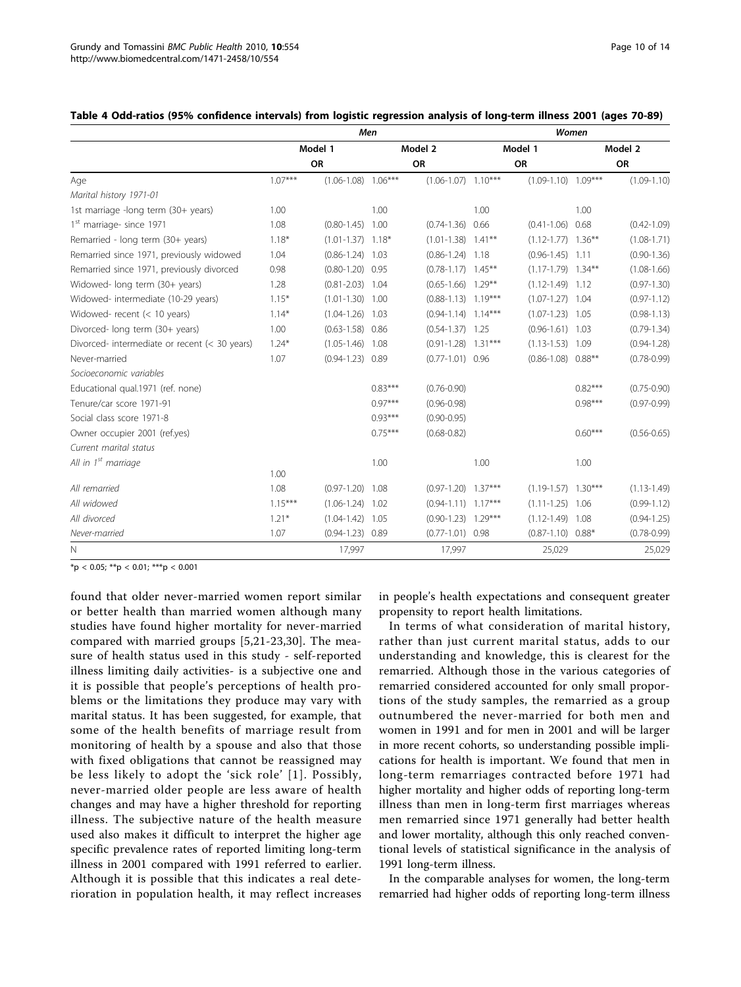|                                               | Men       |                         |           |                         | Women     |                           |           |                 |
|-----------------------------------------------|-----------|-------------------------|-----------|-------------------------|-----------|---------------------------|-----------|-----------------|
|                                               |           | Model 1                 |           | Model 2                 |           | Model 1                   |           | Model 2         |
|                                               |           | <b>OR</b>               |           | <b>OR</b>               |           | <b>OR</b>                 |           | <b>OR</b>       |
| Age                                           | $1.07***$ | $(1.06-1.08)$ $1.06***$ |           | $(1.06 - 1.07)$ 1.10*** |           | $(1.09 - 1.10)$ $1.09***$ |           | $(1.09 - 1.10)$ |
| Marital history 1971-01                       |           |                         |           |                         |           |                           |           |                 |
| 1st marriage -long term (30+ years)           | 1.00      |                         | 1.00      |                         | 1.00      |                           | 1.00      |                 |
| 1 <sup>st</sup> marriage- since 1971          | 1.08      | $(0.80 - 1.45)$         | 1.00      | $(0.74 - 1.36)$ 0.66    |           | $(0.41 - 1.06)$           | 0.68      | $(0.42 - 1.09)$ |
| Remarried - long term (30+ years)             | $1.18*$   | $(1.01 - 1.37)$         | $1.18*$   | $(1.01 - 1.38)$         | $1.41***$ | $(1.12 - 1.77)$ 1.36**    |           | $(1.08 - 1.71)$ |
| Remarried since 1971, previously widowed      | 1.04      | $(0.86 - 1.24)$         | 1.03      | $(0.86 - 1.24)$ 1.18    |           | $(0.96 - 1.45)$ 1.11      |           | $(0.90 - 1.36)$ |
| Remarried since 1971, previously divorced     | 0.98      | $(0.80 - 1.20)$         | 0.95      | $(0.78-1.17)$ 1.45**    |           | $(1.17-1.79)$ 1.34**      |           | $(1.08 - 1.66)$ |
| Widowed- long term (30+ years)                | 1.28      | $(0.81 - 2.03)$         | 1.04      | $(0.65 - 1.66)$ 1.29**  |           | $(1.12 - 1.49)$ 1.12      |           | $(0.97 - 1.30)$ |
| Widowed- intermediate (10-29 years)           | $1.15*$   | $(1.01 - 1.30)$         | 1.00      | $(0.88-1.13)$ 1.19***   |           | $(1.07 - 1.27)$ 1.04      |           | $(0.97 - 1.12)$ |
| Widowed-recent $(< 10$ years)                 | $1.14*$   | $(1.04 - 1.26)$         | 1.03      | $(0.94 - 1.14)$ 1.14*** |           | $(1.07 - 1.23)$ 1.05      |           | $(0.98 - 1.13)$ |
| Divorced- long term (30+ years)               | 1.00      | $(0.63 - 1.58)$         | 0.86      | $(0.54 - 1.37)$ 1.25    |           | $(0.96 - 1.61)$ 1.03      |           | $(0.79 - 1.34)$ |
| Divorced- intermediate or recent (< 30 years) | $1.24*$   | $(1.05 - 1.46)$         | 1.08      | $(0.91 - 1.28)$ 1.31*** |           | $(1.13 - 1.53)$ 1.09      |           | $(0.94 - 1.28)$ |
| Never-married                                 | 1.07      | $(0.94 - 1.23)$ 0.89    |           | $(0.77 - 1.01)$ 0.96    |           | $(0.86 - 1.08)$ 0.88**    |           | $(0.78 - 0.99)$ |
| Socioeconomic variables                       |           |                         |           |                         |           |                           |           |                 |
| Educational qual.1971 (ref. none)             |           |                         | $0.83***$ | $(0.76 - 0.90)$         |           |                           | $0.82***$ | $(0.75 - 0.90)$ |
| Tenure/car score 1971-91                      |           |                         | $0.97***$ | $(0.96 - 0.98)$         |           |                           | $0.98***$ | $(0.97 - 0.99)$ |
| Social class score 1971-8                     |           |                         | $0.93***$ | $(0.90 - 0.95)$         |           |                           |           |                 |
| Owner occupier 2001 (ref.yes)                 |           |                         | $0.75***$ | $(0.68 - 0.82)$         |           |                           | $0.60***$ | $(0.56 - 0.65)$ |
| Current marital status                        |           |                         |           |                         |           |                           |           |                 |
| All in $1st$ marriage                         |           |                         | 1.00      |                         | 1.00      |                           | 1.00      |                 |
|                                               | 1.00      |                         |           |                         |           |                           |           |                 |
| All remarried                                 | 1.08      | $(0.97 - 1.20)$         | 1.08      | $(0.97-1.20)$ 1.37***   |           | $(1.19 - 1.57)$           | $1.30***$ | $(1.13 - 1.49)$ |
| All widowed                                   | $1.15***$ | $(1.06 - 1.24)$         | 1.02      | $(0.94 - 1.11)$ 1.17*** |           | $(1.11 - 1.25)$           | 1.06      | $(0.99 - 1.12)$ |
| All divorced                                  | $1.21*$   | $(1.04 - 1.42)$         | 1.05      | $(0.90-1.23)$ 1.29***   |           | $(1.12 - 1.49)$ 1.08      |           | $(0.94 - 1.25)$ |
| Never-married                                 | 1.07      | $(0.94 - 1.23)$ 0.89    |           | $(0.77 - 1.01)$ 0.98    |           | $(0.87 - 1.10)$ 0.88*     |           | $(0.78 - 0.99)$ |
| $\mathbb N$                                   |           | 17,997                  |           | 17,997                  |           | 25,029                    |           | 25,029          |

#### <span id="page-9-0"></span>Table 4 Odd-ratios (95% confidence intervals) from logistic regression analysis of long-term illness 2001 (ages 70-89)

 $*$ p < 0.05;  $**$ p < 0.01;  $***$ p < 0.001

found that older never-married women report similar or better health than married women although many studies have found higher mortality for never-married compared with married groups [\[5](#page-12-0),[21-23,30](#page-13-0)]. The measure of health status used in this study - self-reported illness limiting daily activities- is a subjective one and it is possible that people's perceptions of health problems or the limitations they produce may vary with marital status. It has been suggested, for example, that some of the health benefits of marriage result from monitoring of health by a spouse and also that those with fixed obligations that cannot be reassigned may be less likely to adopt the 'sick role' [[1\]](#page-12-0). Possibly, never-married older people are less aware of health changes and may have a higher threshold for reporting illness. The subjective nature of the health measure used also makes it difficult to interpret the higher age specific prevalence rates of reported limiting long-term illness in 2001 compared with 1991 referred to earlier. Although it is possible that this indicates a real deterioration in population health, it may reflect increases in people's health expectations and consequent greater propensity to report health limitations.

In terms of what consideration of marital history, rather than just current marital status, adds to our understanding and knowledge, this is clearest for the remarried. Although those in the various categories of remarried considered accounted for only small proportions of the study samples, the remarried as a group outnumbered the never-married for both men and women in 1991 and for men in 2001 and will be larger in more recent cohorts, so understanding possible implications for health is important. We found that men in long-term remarriages contracted before 1971 had higher mortality and higher odds of reporting long-term illness than men in long-term first marriages whereas men remarried since 1971 generally had better health and lower mortality, although this only reached conventional levels of statistical significance in the analysis of 1991 long-term illness.

In the comparable analyses for women, the long-term remarried had higher odds of reporting long-term illness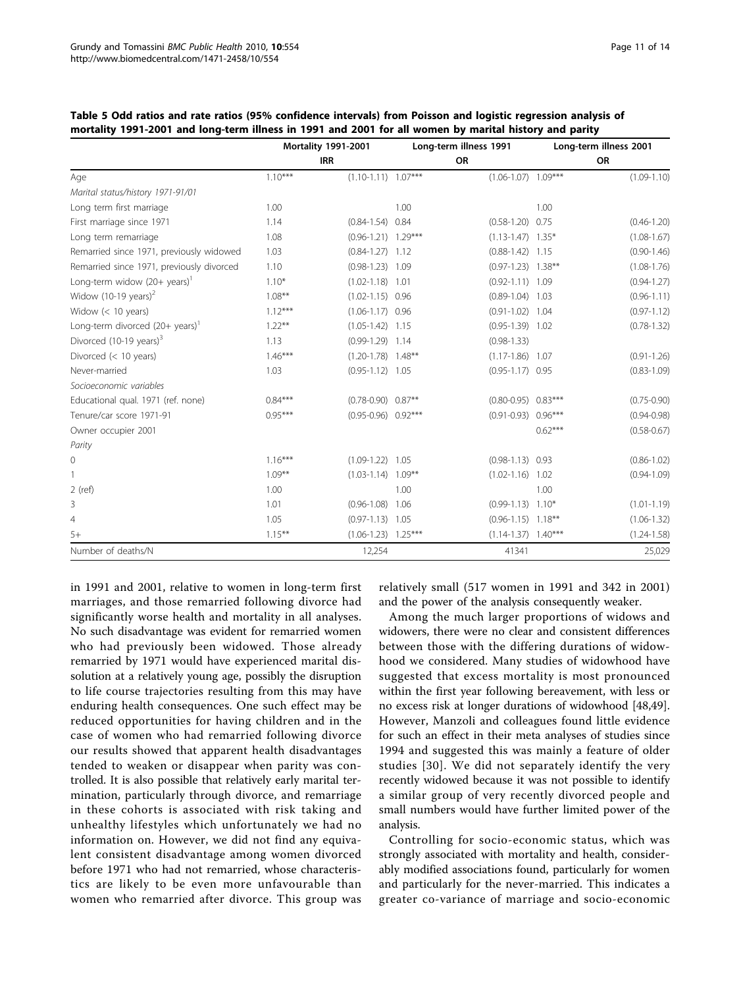|                                             |           | Mortality 1991-2001     |           | Long-term illness 1991    | Long-term illness 2001 |                 |
|---------------------------------------------|-----------|-------------------------|-----------|---------------------------|------------------------|-----------------|
|                                             |           | <b>IRR</b>              |           | OR                        |                        | OR              |
| Age                                         | $1.10***$ | $(1.10-1.11)$ 1.07***   |           | $(1.06 - 1.07)$ 1.09***   |                        | $(1.09 - 1.10)$ |
| Marital status/history 1971-91/01           |           |                         |           |                           |                        |                 |
| Long term first marriage                    | 1.00      |                         | 1.00      |                           | 1.00                   |                 |
| First marriage since 1971                   | 1.14      | $(0.84 - 1.54)$ 0.84    |           | $(0.58 - 1.20)$ 0.75      |                        | $(0.46 - 1.20)$ |
| Long term remarriage                        | 1.08      | $(0.96 - 1.21)$ 1.29*** |           | $(1.13-1.47)$ 1.35*       |                        | $(1.08 - 1.67)$ |
| Remarried since 1971, previously widowed    | 1.03      | $(0.84 - 1.27)$ 1.12    |           | $(0.88 - 1.42)$ 1.15      |                        | $(0.90 - 1.46)$ |
| Remarried since 1971, previously divorced   | 1.10      | $(0.98 - 1.23)$ 1.09    |           | $(0.97 - 1.23)$ 1.38**    |                        | $(1.08 - 1.76)$ |
| Long-term widow $(20+)$ years) <sup>1</sup> | $1.10*$   | $(1.02 - 1.18)$ 1.01    |           | $(0.92 - 1.11)$ 1.09      |                        | $(0.94 - 1.27)$ |
| Widow $(10-19 \text{ years})^2$             | $1.08***$ | $(1.02 - 1.15)$ 0.96    |           | $(0.89 - 1.04)$ 1.03      |                        | $(0.96 - 1.11)$ |
| Widow $(< 10$ years)                        | $1.12***$ | $(1.06 - 1.17)$ 0.96    |           | $(0.91 - 1.02)$ 1.04      |                        | $(0.97 - 1.12)$ |
| Long-term divorced (20+ years) <sup>1</sup> | $1.22***$ | $(1.05-1.42)$ 1.15      |           | $(0.95 - 1.39)$ 1.02      |                        | $(0.78 - 1.32)$ |
| Divorced (10-19 years) <sup>3</sup>         | 1.13      | $(0.99 - 1.29)$ 1.14    |           | $(0.98 - 1.33)$           |                        |                 |
| Divorced $(< 10$ years)                     | $1.46***$ | $(1.20 - 1.78)$ 1.48**  |           | $(1.17-1.86)$ 1.07        |                        | $(0.91 - 1.26)$ |
| Never-married                               | 1.03      | $(0.95 - 1.12)$ 1.05    |           | $(0.95 - 1.17)$ 0.95      |                        | $(0.83 - 1.09)$ |
| Socioeconomic variables                     |           |                         |           |                           |                        |                 |
| Educational qual. 1971 (ref. none)          | $0.84***$ | $(0.78 - 0.90)$ 0.87**  |           | $(0.80 - 0.95)$ 0.83***   |                        | $(0.75 - 0.90)$ |
| Tenure/car score 1971-91                    | $0.95***$ | $(0.95 - 0.96)$ 0.92*** |           | $(0.91 - 0.93)$ $0.96***$ |                        | $(0.94 - 0.98)$ |
| Owner occupier 2001                         |           |                         |           |                           | $0.62***$              | $(0.58 - 0.67)$ |
| Parity                                      |           |                         |           |                           |                        |                 |
| 0                                           | $1.16***$ | $(1.09-1.22)$ 1.05      |           | $(0.98 - 1.13)$ 0.93      |                        | $(0.86 - 1.02)$ |
|                                             | $1.09***$ | $(1.03 - 1.14)$         | $1.09***$ | $(1.02 - 1.16)$           | 1.02                   | $(0.94 - 1.09)$ |
| $2$ (ref)                                   | 1.00      |                         | 1.00      |                           | 1.00                   |                 |
| 3                                           | 1.01      | $(0.96 - 1.08)$         | 1.06      | $(0.99 - 1.13)$ 1.10*     |                        | $(1.01 - 1.19)$ |
| 4                                           | 1.05      | $(0.97 - 1.13)$ 1.05    |           | $(0.96 - 1.15)$ 1.18**    |                        | $(1.06 - 1.32)$ |
| $5+$                                        | $1.15***$ | $(1.06-1.23)$ 1.25***   |           | $(1.14-1.37)$ $1.40***$   |                        | $(1.24 - 1.58)$ |
| Number of deaths/N                          |           | 12,254                  |           | 41341                     |                        | 25,029          |

<span id="page-10-0"></span>Table 5 Odd ratios and rate ratios (95% confidence intervals) from Poisson and logistic regression analysis of mortality 1991-2001 and long-term illness in 1991 and 2001 for all women by marital history and parity

in 1991 and 2001, relative to women in long-term first marriages, and those remarried following divorce had significantly worse health and mortality in all analyses. No such disadvantage was evident for remarried women who had previously been widowed. Those already remarried by 1971 would have experienced marital dissolution at a relatively young age, possibly the disruption to life course trajectories resulting from this may have enduring health consequences. One such effect may be reduced opportunities for having children and in the case of women who had remarried following divorce our results showed that apparent health disadvantages tended to weaken or disappear when parity was controlled. It is also possible that relatively early marital termination, particularly through divorce, and remarriage in these cohorts is associated with risk taking and unhealthy lifestyles which unfortunately we had no information on. However, we did not find any equivalent consistent disadvantage among women divorced before 1971 who had not remarried, whose characteristics are likely to be even more unfavourable than women who remarried after divorce. This group was

relatively small (517 women in 1991 and 342 in 2001) and the power of the analysis consequently weaker.

Among the much larger proportions of widows and widowers, there were no clear and consistent differences between those with the differing durations of widowhood we considered. Many studies of widowhood have suggested that excess mortality is most pronounced within the first year following bereavement, with less or no excess risk at longer durations of widowhood [[48](#page-13-0),[49](#page-13-0)]. However, Manzoli and colleagues found little evidence for such an effect in their meta analyses of studies since 1994 and suggested this was mainly a feature of older studies [[30](#page-13-0)]. We did not separately identify the very recently widowed because it was not possible to identify a similar group of very recently divorced people and small numbers would have further limited power of the analysis.

Controlling for socio-economic status, which was strongly associated with mortality and health, considerably modified associations found, particularly for women and particularly for the never-married. This indicates a greater co-variance of marriage and socio-economic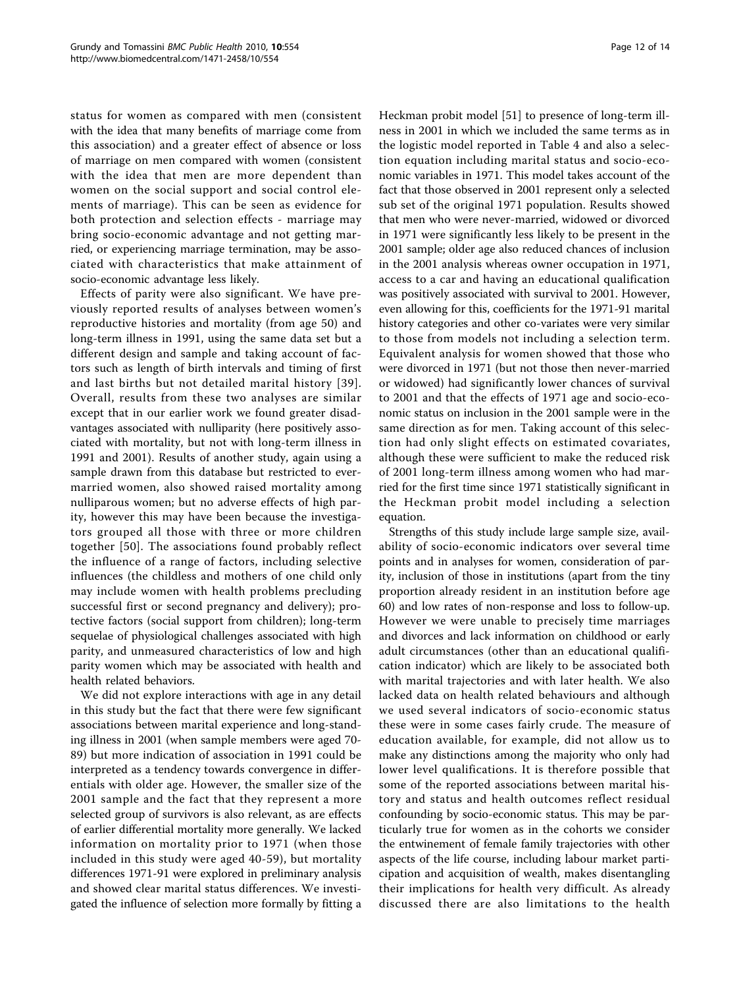status for women as compared with men (consistent with the idea that many benefits of marriage come from this association) and a greater effect of absence or loss of marriage on men compared with women (consistent with the idea that men are more dependent than women on the social support and social control elements of marriage). This can be seen as evidence for both protection and selection effects - marriage may bring socio-economic advantage and not getting married, or experiencing marriage termination, may be associated with characteristics that make attainment of socio-economic advantage less likely.

Effects of parity were also significant. We have previously reported results of analyses between women's reproductive histories and mortality (from age 50) and long-term illness in 1991, using the same data set but a different design and sample and taking account of factors such as length of birth intervals and timing of first and last births but not detailed marital history [[39\]](#page-13-0). Overall, results from these two analyses are similar except that in our earlier work we found greater disadvantages associated with nulliparity (here positively associated with mortality, but not with long-term illness in 1991 and 2001). Results of another study, again using a sample drawn from this database but restricted to evermarried women, also showed raised mortality among nulliparous women; but no adverse effects of high parity, however this may have been because the investigators grouped all those with three or more children together [\[50\]](#page-13-0). The associations found probably reflect the influence of a range of factors, including selective influences (the childless and mothers of one child only may include women with health problems precluding successful first or second pregnancy and delivery); protective factors (social support from children); long-term sequelae of physiological challenges associated with high parity, and unmeasured characteristics of low and high parity women which may be associated with health and health related behaviors.

We did not explore interactions with age in any detail in this study but the fact that there were few significant associations between marital experience and long-standing illness in 2001 (when sample members were aged 70- 89) but more indication of association in 1991 could be interpreted as a tendency towards convergence in differentials with older age. However, the smaller size of the 2001 sample and the fact that they represent a more selected group of survivors is also relevant, as are effects of earlier differential mortality more generally. We lacked information on mortality prior to 1971 (when those included in this study were aged 40-59), but mortality differences 1971-91 were explored in preliminary analysis and showed clear marital status differences. We investigated the influence of selection more formally by fitting a Heckman probit model [[51](#page-13-0)] to presence of long-term illness in 2001 in which we included the same terms as in the logistic model reported in Table [4](#page-9-0) and also a selection equation including marital status and socio-economic variables in 1971. This model takes account of the fact that those observed in 2001 represent only a selected sub set of the original 1971 population. Results showed that men who were never-married, widowed or divorced in 1971 were significantly less likely to be present in the 2001 sample; older age also reduced chances of inclusion in the 2001 analysis whereas owner occupation in 1971, access to a car and having an educational qualification was positively associated with survival to 2001. However, even allowing for this, coefficients for the 1971-91 marital history categories and other co-variates were very similar to those from models not including a selection term. Equivalent analysis for women showed that those who were divorced in 1971 (but not those then never-married or widowed) had significantly lower chances of survival to 2001 and that the effects of 1971 age and socio-economic status on inclusion in the 2001 sample were in the same direction as for men. Taking account of this selection had only slight effects on estimated covariates, although these were sufficient to make the reduced risk of 2001 long-term illness among women who had married for the first time since 1971 statistically significant in the Heckman probit model including a selection equation.

Strengths of this study include large sample size, availability of socio-economic indicators over several time points and in analyses for women, consideration of parity, inclusion of those in institutions (apart from the tiny proportion already resident in an institution before age 60) and low rates of non-response and loss to follow-up. However we were unable to precisely time marriages and divorces and lack information on childhood or early adult circumstances (other than an educational qualification indicator) which are likely to be associated both with marital trajectories and with later health. We also lacked data on health related behaviours and although we used several indicators of socio-economic status these were in some cases fairly crude. The measure of education available, for example, did not allow us to make any distinctions among the majority who only had lower level qualifications. It is therefore possible that some of the reported associations between marital history and status and health outcomes reflect residual confounding by socio-economic status. This may be particularly true for women as in the cohorts we consider the entwinement of female family trajectories with other aspects of the life course, including labour market participation and acquisition of wealth, makes disentangling their implications for health very difficult. As already discussed there are also limitations to the health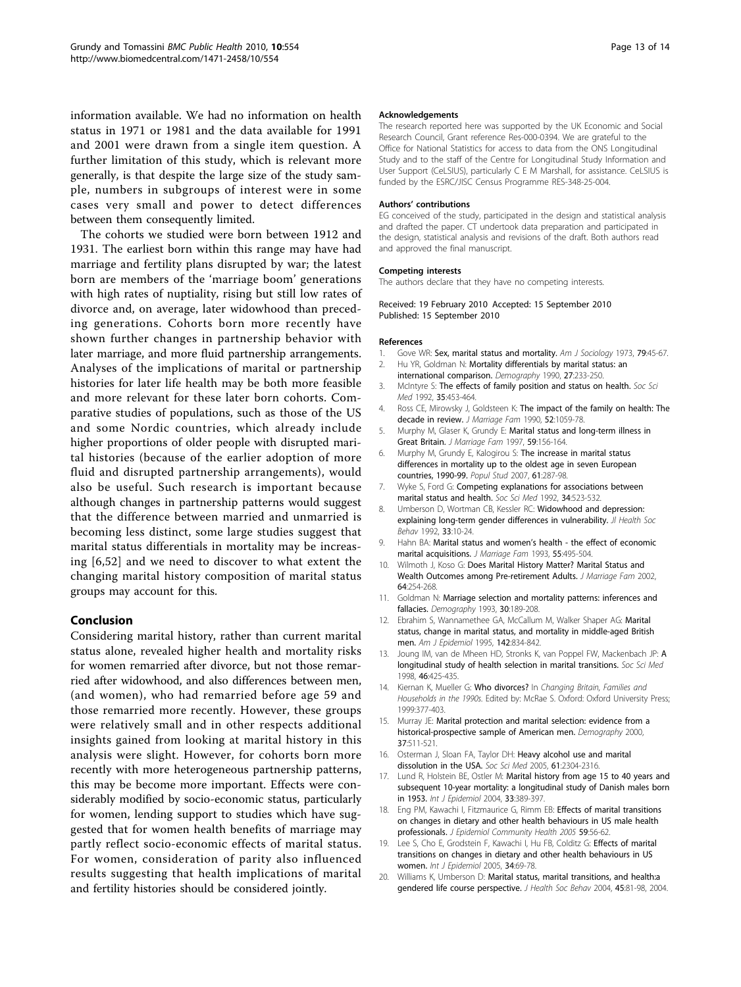<span id="page-12-0"></span>information available. We had no information on health status in 1971 or 1981 and the data available for 1991 and 2001 were drawn from a single item question. A further limitation of this study, which is relevant more generally, is that despite the large size of the study sample, numbers in subgroups of interest were in some cases very small and power to detect differences between them consequently limited.

The cohorts we studied were born between 1912 and 1931. The earliest born within this range may have had marriage and fertility plans disrupted by war; the latest born are members of the 'marriage boom' generations with high rates of nuptiality, rising but still low rates of divorce and, on average, later widowhood than preceding generations. Cohorts born more recently have shown further changes in partnership behavior with later marriage, and more fluid partnership arrangements. Analyses of the implications of marital or partnership histories for later life health may be both more feasible and more relevant for these later born cohorts. Comparative studies of populations, such as those of the US and some Nordic countries, which already include higher proportions of older people with disrupted marital histories (because of the earlier adoption of more fluid and disrupted partnership arrangements), would also be useful. Such research is important because although changes in partnership patterns would suggest that the difference between married and unmarried is becoming less distinct, some large studies suggest that marital status differentials in mortality may be increasing [6[,52\]](#page-13-0) and we need to discover to what extent the changing marital history composition of marital status groups may account for this.

#### Conclusion

Considering marital history, rather than current marital status alone, revealed higher health and mortality risks for women remarried after divorce, but not those remarried after widowhood, and also differences between men, (and women), who had remarried before age 59 and those remarried more recently. However, these groups were relatively small and in other respects additional insights gained from looking at marital history in this analysis were slight. However, for cohorts born more recently with more heterogeneous partnership patterns, this may be become more important. Effects were considerably modified by socio-economic status, particularly for women, lending support to studies which have suggested that for women health benefits of marriage may partly reflect socio-economic effects of marital status. For women, consideration of parity also influenced results suggesting that health implications of marital and fertility histories should be considered jointly.

#### Acknowledgements

The research reported here was supported by the UK Economic and Social Research Council, Grant reference Res-000-0394. We are grateful to the Office for National Statistics for access to data from the ONS Longitudinal Study and to the staff of the Centre for Longitudinal Study Information and User Support (CeLSIUS), particularly C E M Marshall, for assistance. CeLSIUS is funded by the ESRC/JISC Census Programme RES-348-25-004.

#### Authors' contributions

EG conceived of the study, participated in the design and statistical analysis and drafted the paper. CT undertook data preparation and participated in the design, statistical analysis and revisions of the draft. Both authors read and approved the final manuscript.

#### Competing interests

The authors declare that they have no competing interests.

Received: 19 February 2010 Accepted: 15 September 2010 Published: 15 September 2010

#### References

- 1. Gove WR: Sex, marital status and mortality. Am J Sociology 1973, 79:45-67.
- 2. Hu YR, Goldman N: [Mortality differentials by marital status: an](http://www.ncbi.nlm.nih.gov/pubmed/2332088?dopt=Abstract) [international comparison.](http://www.ncbi.nlm.nih.gov/pubmed/2332088?dopt=Abstract) Demography 1990, 27:233-250.
- 3. McIntyre S: [The effects of family position and status on health.](http://www.ncbi.nlm.nih.gov/pubmed/1519098?dopt=Abstract) Soc Sci Med 1992, 35:453-464
- 4. Ross CE, Mirowsky J, Goldsteen K: The impact of the family on health: The decade in review. J Marriage Fam 1990, 52:1059-78.
- 5. Murphy M, Glaser K, Grundy E: Marital status and long-term illness in Great Britain. J Marriage Fam 1997, 59:156-164.
- 6. Murphy M, Grundy E, Kalogirou S: The increase in marital status differences in mortality up to the oldest age in seven European countries, 1990-99. Popul Stud 2007, 61:287-98.
- 7. Wyke S, Ford G: [Competing explanations for associations between](http://www.ncbi.nlm.nih.gov/pubmed/1604359?dopt=Abstract) [marital status and health.](http://www.ncbi.nlm.nih.gov/pubmed/1604359?dopt=Abstract) Soc Sci Med 1992, 34:523-532.
- 8. Umberson D, Wortman CB, Kessler RC: Widowhood and depression: explaining long-term gender differences in vulnerability. JI Health Soc Behav 1992, 33:10-24.
- 9. Hahn BA: Marital status and women's health the effect of economic marital acquisitions. *J Marrigge Fam 1993*, 55:495-504.
- 10. Wilmoth J, Koso G: Does Marital History Matter? Marital Status and Wealth Outcomes among Pre-retirement Adults. J Marriage Fam 2002, 64:254-268.
- 11. Goldman N: [Marriage selection and mortality patterns: inferences and](http://www.ncbi.nlm.nih.gov/pubmed/8500636?dopt=Abstract) [fallacies.](http://www.ncbi.nlm.nih.gov/pubmed/8500636?dopt=Abstract) Demography 1993, 30:189-208.
- 12. Ebrahim S, Wannamethee GA, McCallum M, Walker Shaper AG: [Marital](http://www.ncbi.nlm.nih.gov/pubmed/7572960?dopt=Abstract) [status, change in marital status, and mortality in middle-aged British](http://www.ncbi.nlm.nih.gov/pubmed/7572960?dopt=Abstract) [men.](http://www.ncbi.nlm.nih.gov/pubmed/7572960?dopt=Abstract) Am J Epidemiol 1995, 142:834-842.
- 13. Joung IM, van de Mheen HD, Stronks K, van Poppel FW, Mackenbach JP: [A](http://www.ncbi.nlm.nih.gov/pubmed/9460823?dopt=Abstract) [longitudinal study of health selection in marital transitions.](http://www.ncbi.nlm.nih.gov/pubmed/9460823?dopt=Abstract) Soc Sci Med 1998, 46:425-435.
- 14. Kiernan K, Mueller G: Who divorces? In Changing Britain, Families and Households in the 1990s. Edited by: McRae S. Oxford: Oxford University Press; 1999:377-403.
- 15. Murray JE: [Marital protection and marital selection: evidence from a](http://www.ncbi.nlm.nih.gov/pubmed/11086576?dopt=Abstract) [historical-prospective sample of American men.](http://www.ncbi.nlm.nih.gov/pubmed/11086576?dopt=Abstract) Demography 2000, 37:511-521.
- 16. Osterman J, Sloan FA, Taylor DH: [Heavy alcohol use and marital](http://www.ncbi.nlm.nih.gov/pubmed/16139939?dopt=Abstract) [dissolution in the USA.](http://www.ncbi.nlm.nih.gov/pubmed/16139939?dopt=Abstract) Soc Sci Med 2005, 61:2304-2316.
- 17. Lund R, Holstein BE, Ostler M: [Marital history from age 15 to 40 years and](http://www.ncbi.nlm.nih.gov/pubmed/15082647?dopt=Abstract) [subsequent 10-year mortality: a longitudinal study of Danish males born](http://www.ncbi.nlm.nih.gov/pubmed/15082647?dopt=Abstract) [in 1953.](http://www.ncbi.nlm.nih.gov/pubmed/15082647?dopt=Abstract) Int J Epidemiol 2004, 33:389-397.
- 18. Eng PM, Kawachi I, Fitzmaurice G, Rimm EB: Effects of marital transitions on changes in dietary and other health behaviours in US male health professionals. J Epidemiol Community Health 2005 59:56-62.
- 19. Lee S, Cho E, Grodstein F, Kawachi I, Hu FB, Colditz G: [Effects of marital](http://www.ncbi.nlm.nih.gov/pubmed/15231759?dopt=Abstract) [transitions on changes in dietary and other health behaviours in US](http://www.ncbi.nlm.nih.gov/pubmed/15231759?dopt=Abstract) [women.](http://www.ncbi.nlm.nih.gov/pubmed/15231759?dopt=Abstract) Int J Epidemiol 2005, 34:69-78.
- 20. Williams K, Umberson D: [Marital status, marital transitions, and health:a](http://www.ncbi.nlm.nih.gov/pubmed/15179909?dopt=Abstract) [gendered life course perspective.](http://www.ncbi.nlm.nih.gov/pubmed/15179909?dopt=Abstract) J Health Soc Behav 2004, 45:81-98, 2004.